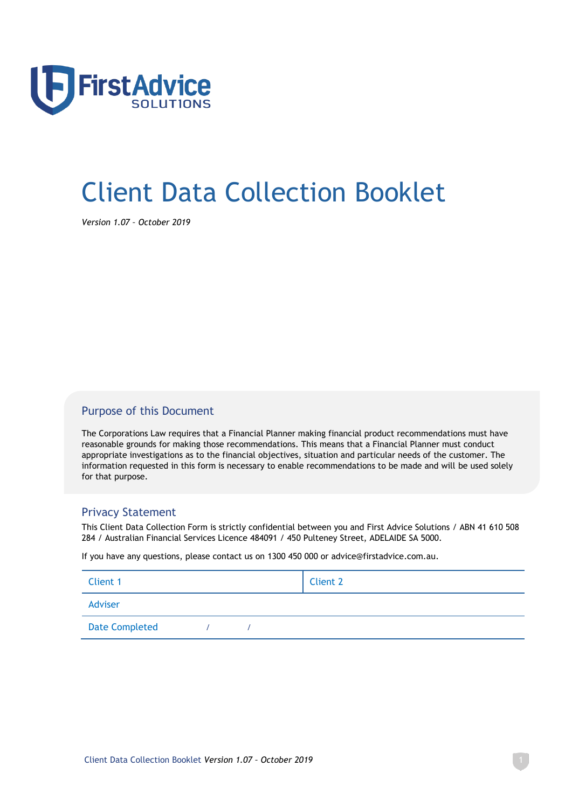

# Client Data Collection Booklet

*Version 1.07 – October 2019*

## Purpose of this Document

The Corporations Law requires that a Financial Planner making financial product recommendations must have reasonable grounds for making those recommendations. This means that a Financial Planner must conduct appropriate investigations as to the financial objectives, situation and particular needs of the customer. The information requested in this form is necessary to enable recommendations to be made and will be used solely for that purpose.

## Privacy Statement

This Client Data Collection Form is strictly confidential between you and First Advice Solutions / ABN 41 610 508 284 / Australian Financial Services Licence 484091 / 450 Pulteney Street, ADELAIDE SA 5000.

If you have any questions, please contact us on 1300 450 000 or advice@firstadvice.com.au.

| Client 1              |  | <b>Client 2</b> |
|-----------------------|--|-----------------|
| Adviser               |  |                 |
| <b>Date Completed</b> |  |                 |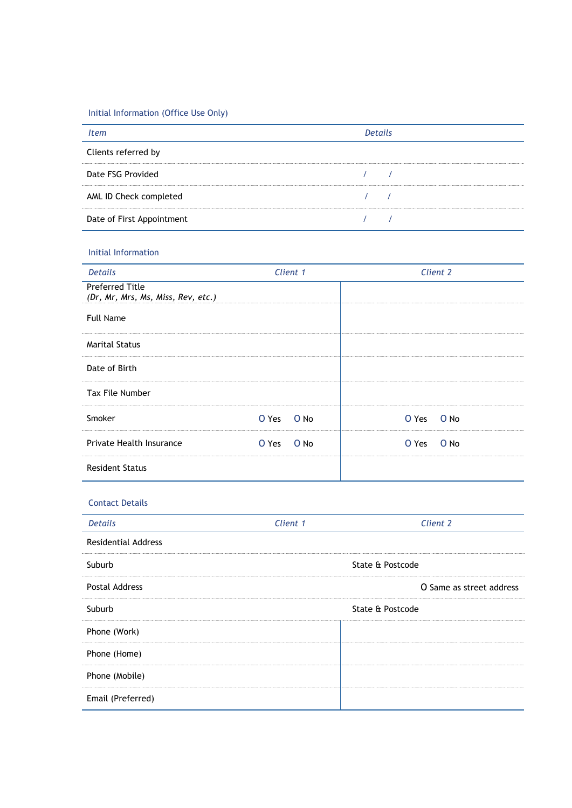Initial Information (Office Use Only)

|                           | Details |  |
|---------------------------|---------|--|
| Clients referred by       |         |  |
| Date FSG Provided         |         |  |
| AML ID Check completed    |         |  |
| Date of First Appointment |         |  |

#### Initial Information

| <b>Details</b>                                               | Client 1        | Client 2      |
|--------------------------------------------------------------|-----------------|---------------|
| <b>Preferred Title</b><br>(Dr, Mr, Mrs, Ms, Miss, Rev, etc.) |                 |               |
| <b>Full Name</b>                                             |                 |               |
| <b>Marital Status</b>                                        |                 |               |
| Date of Birth                                                |                 |               |
| Tax File Number                                              |                 |               |
| Smoker                                                       | $O$ No<br>O Yes | O No<br>O Yes |
| Private Health Insurance                                     | O No<br>O Yes   | O No<br>O Yes |
| <b>Resident Status</b>                                       |                 |               |

#### Contact Details

| <b>Details</b>             | Client 1 | Client 2                 |
|----------------------------|----------|--------------------------|
| <b>Residential Address</b> |          |                          |
| Suburb                     |          | State & Postcode         |
| <b>Postal Address</b>      |          | O Same as street address |
| Suburb                     |          | State & Postcode         |
| Phone (Work)               |          |                          |
| Phone (Home)               |          |                          |
| Phone (Mobile)             |          |                          |
| Email (Preferred)          |          |                          |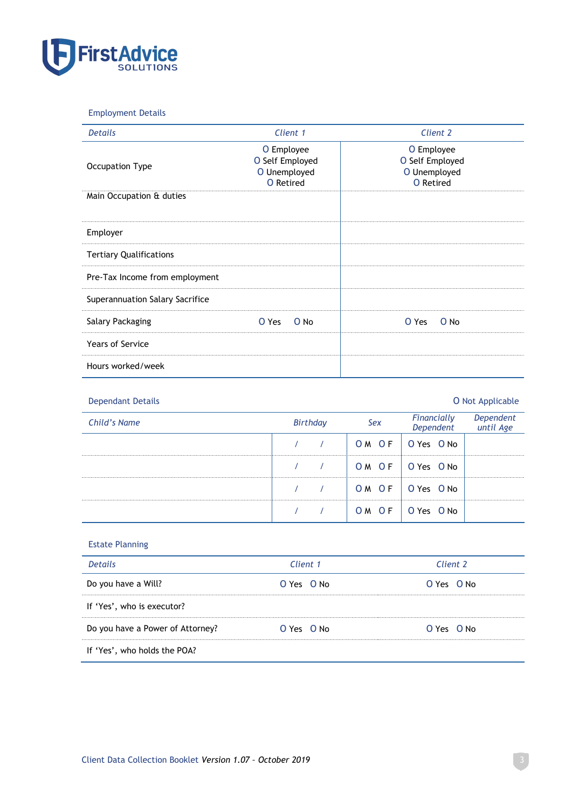

#### Employment Details

| <b>Details</b>                  | Client 1                                                   | Client 2                                                          |
|---------------------------------|------------------------------------------------------------|-------------------------------------------------------------------|
| Occupation Type                 | O Employee<br>O Self Employed<br>O Unemployed<br>O Retired | O Employee<br>O Self Employed<br>O Unemployed<br><b>O</b> Retired |
| Main Occupation & duties        |                                                            |                                                                   |
| Employer                        |                                                            |                                                                   |
| <b>Tertiary Qualifications</b>  |                                                            |                                                                   |
| Pre-Tax Income from employment  |                                                            |                                                                   |
| Superannuation Salary Sacrifice |                                                            |                                                                   |
| Salary Packaging                | O No<br>O Yes                                              | O No<br>O Yes                                                     |
| <b>Years of Service</b>         |                                                            |                                                                   |
| Hours worked/week               |                                                            |                                                                   |

| <b>Dependant Details</b> |                |       |                          | O Not Applicable       |
|--------------------------|----------------|-------|--------------------------|------------------------|
| Child's Name             | Birthday       | Sex   | Financially<br>Dependent | Dependent<br>until Age |
|                          |                | OM OF | O Yes O No               |                        |
|                          | $\overline{1}$ | OM OF | O Yes O No               |                        |
|                          | $\overline{1}$ | OM OF | O Yes O No               |                        |
|                          |                | OM OF | O Yes O No               |                        |

#### Estate Planning

| <b>Details</b>                   | Client 1       | Client 2       |
|----------------------------------|----------------|----------------|
| Do you have a Will?              | O Yes O No     | $O Yes$ $O No$ |
| If 'Yes', who is executor?       |                |                |
| Do you have a Power of Attorney? | $O Yes$ $O No$ | $O Yes$ $O No$ |
| If 'Yes', who holds the POA?     |                |                |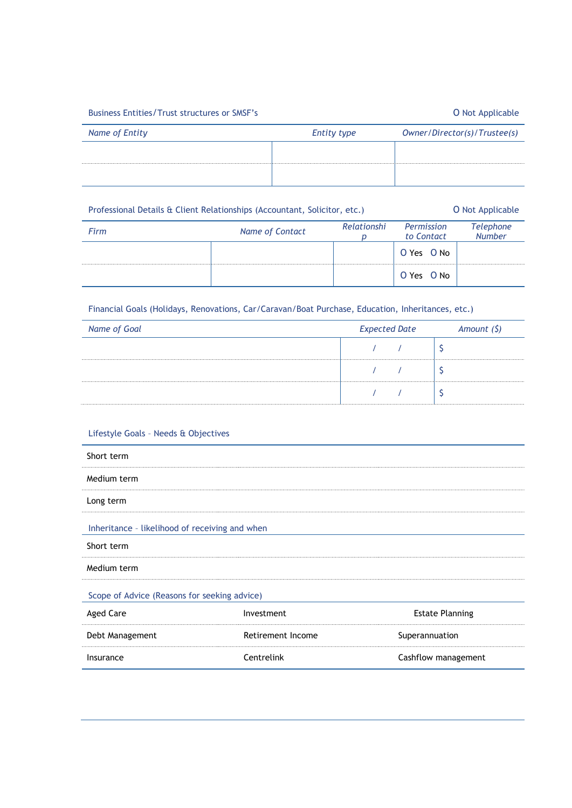#### Business Entities/Trust structures or SMSF's **COMPUTER CONSTANDING CONTACT CONTACT** ON Not Applicable

| Name of Entity | <b>Entity type</b> | Owner/Director(s)/Trustee(s) |
|----------------|--------------------|------------------------------|
|                |                    |                              |
|                |                    |                              |

| Professional Details & Client Relationships (Accountant, Solicitor, etc.) |                 |             |                          | <b>O</b> Not Applicable           |
|---------------------------------------------------------------------------|-----------------|-------------|--------------------------|-----------------------------------|
| Firm                                                                      | Name of Contact | Relationshi | Permission<br>to Contact | <b>Telephone</b><br><b>Number</b> |
|                                                                           |                 |             | O Yes O No               |                                   |
|                                                                           |                 |             | O Yes O No               |                                   |

Financial Goals (Holidays, Renovations, Car/Caravan/Boat Purchase, Education, Inheritances, etc.)

| Name of Goal | <b>Expected Date</b> |  | Amount $(5)$ |  |
|--------------|----------------------|--|--------------|--|
|              |                      |  |              |  |
|              |                      |  |              |  |
|              |                      |  |              |  |

#### Lifestyle Goals – Needs & Objectives

| Short term                                     |                   |                        |  |
|------------------------------------------------|-------------------|------------------------|--|
| Medium term                                    |                   |                        |  |
| Long term                                      |                   |                        |  |
| Inheritance - likelihood of receiving and when |                   |                        |  |
| Short term                                     |                   |                        |  |
| Medium term                                    |                   |                        |  |
| Scope of Advice (Reasons for seeking advice)   |                   |                        |  |
| <b>Aged Care</b>                               | Investment        | <b>Estate Planning</b> |  |
| Debt Management                                | Retirement Income | Superannuation         |  |
| Insurance                                      | Centrelink        | Cashflow management    |  |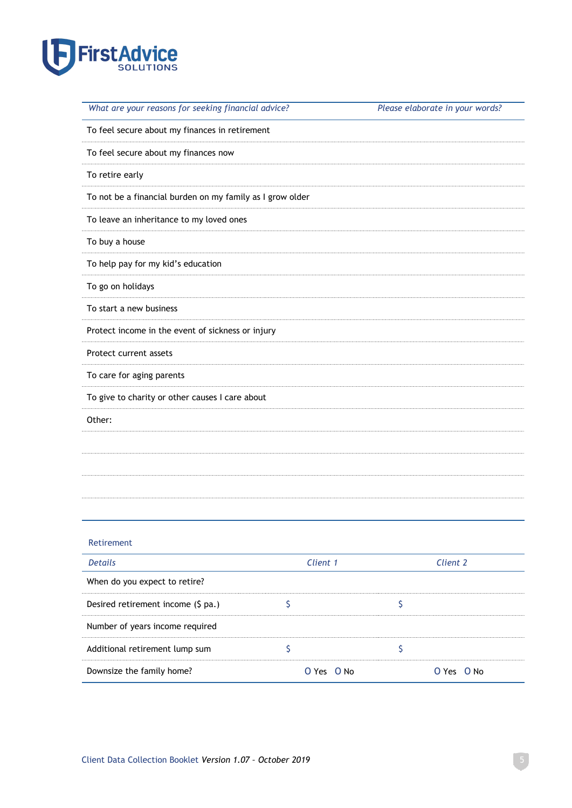

| What are your reasons for seeking financial advice?       | Please elaborate in your words? |
|-----------------------------------------------------------|---------------------------------|
| To feel secure about my finances in retirement            |                                 |
| To feel secure about my finances now                      |                                 |
| To retire early                                           |                                 |
| To not be a financial burden on my family as I grow older |                                 |
| To leave an inheritance to my loved ones                  |                                 |
| To buy a house                                            |                                 |
| To help pay for my kid's education                        |                                 |
| To go on holidays                                         |                                 |
| To start a new business                                   |                                 |
| Protect income in the event of sickness or injury         |                                 |
| Protect current assets                                    |                                 |
| To care for aging parents                                 |                                 |
| To give to charity or other causes I care about           |                                 |
| Other:                                                    |                                 |
|                                                           |                                 |
|                                                           |                                 |
|                                                           |                                 |
|                                                           |                                 |

#### Retirement

| Details                            | Client 1         | Client 2        |
|------------------------------------|------------------|-----------------|
| When do you expect to retire?      |                  |                 |
| Desired retirement income (\$ pa.) |                  |                 |
| Number of years income required    |                  |                 |
| Additional retirement lump sum     |                  |                 |
| Downsize the family home?          | $O Y e5$ $O N_0$ | $O Yes$ $O$ No. |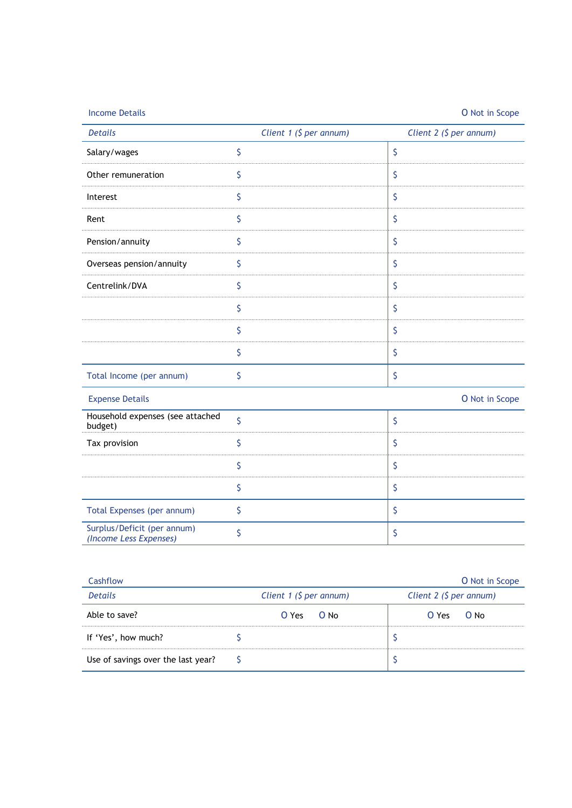| <b>Income Details</b>                                 |                         | O Not in Scope          |
|-------------------------------------------------------|-------------------------|-------------------------|
| <b>Details</b>                                        | Client 1 (\$ per annum) | Client 2 (\$ per annum) |
| Salary/wages                                          | \$                      | \$                      |
| Other remuneration                                    | \$                      | \$                      |
| Interest                                              | \$                      | \$                      |
| Rent                                                  | \$                      | \$                      |
| Pension/annuity                                       | \$                      | $\varsigma$             |
| Overseas pension/annuity                              | \$                      | \$                      |
| Centrelink/DVA                                        | \$                      | \$                      |
|                                                       | \$                      | \$                      |
|                                                       | \$                      | \$                      |
|                                                       | \$                      | \$                      |
| Total Income (per annum)                              | \$                      | \$                      |
| <b>Expense Details</b>                                |                         | O Not in Scope          |
| Household expenses (see attached<br>budget)           | \$                      | \$                      |
| Tax provision                                         | \$                      | \$                      |
|                                                       | \$                      | \$                      |
|                                                       | \$                      | \$                      |
| Total Expenses (per annum)                            | \$                      | \$                      |
| Surplus/Deficit (per annum)<br>(Income Less Expenses) | \$                      | \$                      |

| Cashflow                           |                               | <b>O</b> Not in Scope       |
|------------------------------------|-------------------------------|-----------------------------|
| Details                            | Client 1 ( $\zeta$ per annum) | Client $2$ ( $$$ per annum) |
| Able to save?                      | $O Yes$ $O No$                | O Yes<br>$O$ No             |
| If 'Yes', how much?                |                               |                             |
| Use of savings over the last year? |                               |                             |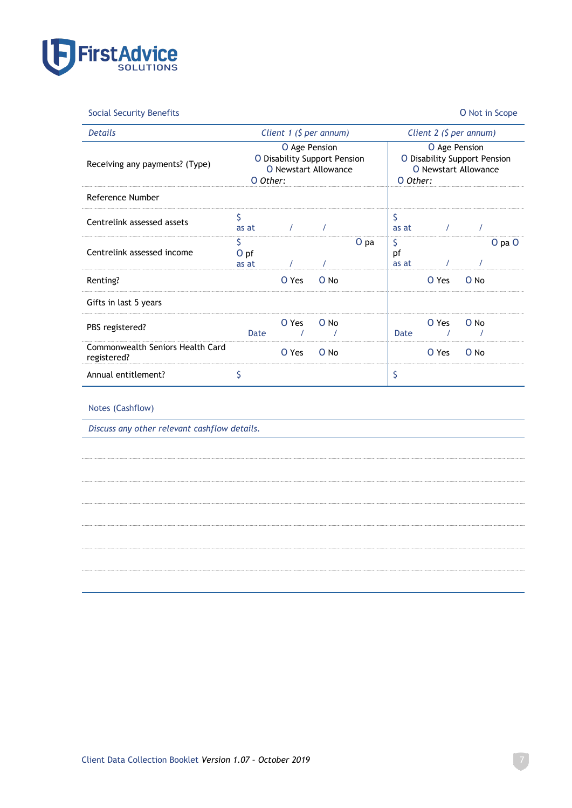

Social Security Benefits O Not in Scope

| <b>Details</b>                                  |                                                                                   | Client 1 ( $$$ per annum) |                                                                                   |        |                   | Client $2$ ( $$$ per annum) |        |            |
|-------------------------------------------------|-----------------------------------------------------------------------------------|---------------------------|-----------------------------------------------------------------------------------|--------|-------------------|-----------------------------|--------|------------|
| Receiving any payments? (Type)                  | O Age Pension<br>O Disability Support Pension<br>O Newstart Allowance<br>O Other: |                           | O Age Pension<br>O Disability Support Pension<br>O Newstart Allowance<br>O Other: |        |                   |                             |        |            |
| Reference Number                                |                                                                                   |                           |                                                                                   |        |                   |                             |        |            |
| Centrelink assessed assets                      | Ś<br>as at                                                                        | $\prime$                  |                                                                                   |        | \$<br>as at       | $\prime$                    |        |            |
| Centrelink assessed income                      | \$<br>O pf<br>as at                                                               | $\prime$                  |                                                                                   | $O$ pa | \$<br>рf<br>as at |                             |        | $O$ pa $O$ |
| Renting?                                        |                                                                                   | O Yes                     | O No                                                                              |        |                   | O Yes                       | O No   |            |
| Gifts in last 5 years                           |                                                                                   |                           |                                                                                   |        |                   |                             |        |            |
| PBS registered?                                 | Date                                                                              | O Yes                     | O No                                                                              |        | Date              | O Yes                       | $O$ No |            |
| Commonwealth Seniors Health Card<br>registered? |                                                                                   | O Yes                     | O No                                                                              |        |                   | O Yes                       | O No   |            |
| Annual entitlement?                             | \$                                                                                |                           |                                                                                   |        | \$                |                             |        |            |

#### Notes (Cashflow)

*Discuss any other relevant cashflow details.*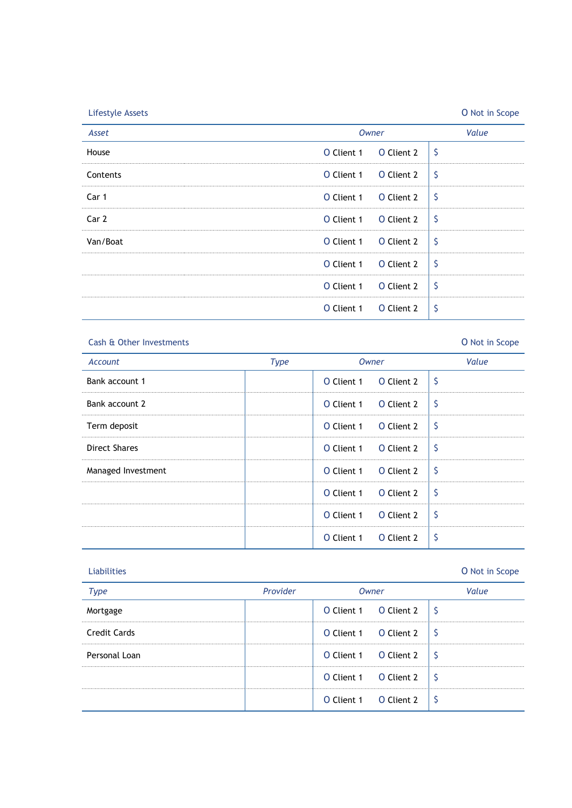| <b>Lifestyle Assets</b> |              |                           | O Not in Scope |
|-------------------------|--------------|---------------------------|----------------|
| Asset                   | <b>Owner</b> |                           | Value          |
| House                   | O Client 1   | $\varsigma$<br>O Client 2 |                |
| Contents                | O Client 1   | $\varsigma$<br>O Client 2 |                |
| Car 1                   | O Client 1   | -\$<br>O Client 2         |                |
| Car 2                   | O Client 1   | -\$<br>O Client 2         |                |
| Van/Boat                | O Client 1   | -\$<br>O Client 2         |                |
|                         | O Client 1   | \$<br>O Client 2          |                |
|                         | O Client 1   | \$<br>O Client 2          |                |
|                         | O Client 1   | \$<br>O Client 2          |                |

#### Cash & Other Investments O Not in Scope

## *Account Type Owner Value* Bank account 1 and 1 and 1 0 Client 1 0 Client 2  $\int$  5 Bank account 2 **D** Client 1 O Client 2  $\sqrt{ }$ Term deposit **Term deposit C** Client 1 O Client 2  $\boxed{\S}$ Direct Shares **O** Client 1 O Client 2  $\frac{1}{2}$ Managed Investment **Contained Investment** All Contained Investment 2 \ \ \ \$ O Client 1 O Client 2  $\frac{1}{5}$ O Client 1 O Client 2  $\frac{1}{5}$ O Client 1 O Client 2  $\vert$  \$

| <b>Liabilities</b>  |          |                       | O Not in Scope |
|---------------------|----------|-----------------------|----------------|
| <b>Type</b>         | Provider | Owner                 | Value          |
| Mortgage            |          | O Client 1 O Client 2 |                |
| <b>Credit Cards</b> |          | O Client 1 O Client 2 |                |
| Personal Loan       |          | O Client 1 O Client 2 | - S            |
|                     |          | O Client 1 O Client 2 | - S            |
|                     |          | O Client 1 O Client 2 |                |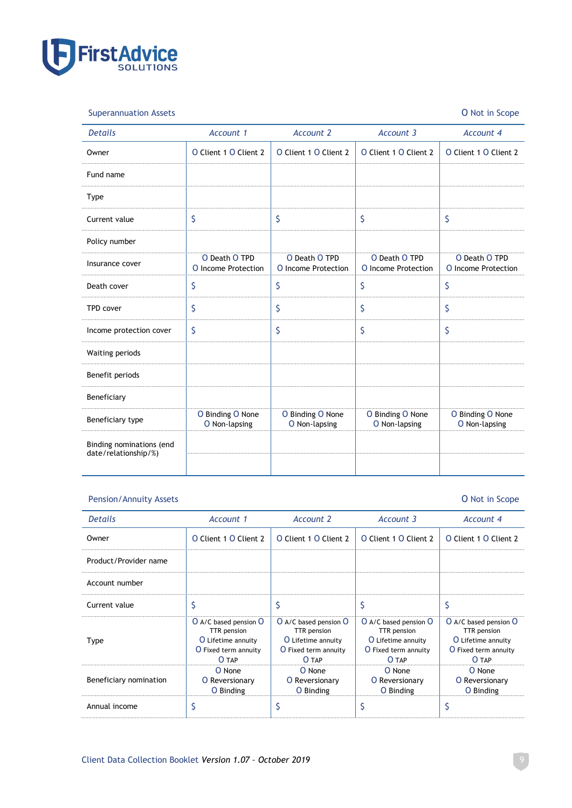

Superannuation Assets O Not in Scope

| <b>Details</b>                                   | Account 1                            | <b>Account 2</b>                     | Account 3                            | <b>Account 4</b>                     |
|--------------------------------------------------|--------------------------------------|--------------------------------------|--------------------------------------|--------------------------------------|
| Owner                                            | O Client 1 O Client 2                | O Client 1 O Client 2                | O Client 1 O Client 2                | O Client 1 O Client 2                |
| Fund name                                        |                                      |                                      |                                      |                                      |
| <b>Type</b>                                      |                                      |                                      |                                      |                                      |
| Current value                                    | \$                                   | \$                                   | \$                                   | \$                                   |
| Policy number                                    |                                      |                                      |                                      |                                      |
| Insurance cover                                  | O Death O TPD<br>O Income Protection | O Death O TPD<br>O Income Protection | O Death O TPD<br>O Income Protection | O Death O TPD<br>O Income Protection |
| Death cover                                      | \$                                   | \$                                   | \$                                   | \$                                   |
| <b>TPD cover</b>                                 | \$                                   | \$                                   | \$                                   | \$                                   |
| Income protection cover                          | \$                                   | \$                                   | \$                                   | \$                                   |
| Waiting periods                                  |                                      |                                      |                                      |                                      |
| Benefit periods                                  |                                      |                                      |                                      |                                      |
| Beneficiary                                      |                                      |                                      |                                      |                                      |
| Beneficiary type                                 | O Binding O None<br>O Non-lapsing    | O Binding O None<br>O Non-lapsing    | O Binding O None<br>O Non-lapsing    | O Binding O None<br>O Non-lapsing    |
| Binding nominations (end<br>date/relationship/%) |                                      |                                      |                                      |                                      |

### Pension/Annuity Assets O Not in Scope

| <b>Details</b>         | Account 1                                                                                   | Account 2                                                                                          | Account 3                                                                                   | Account 4                                                                                          |
|------------------------|---------------------------------------------------------------------------------------------|----------------------------------------------------------------------------------------------------|---------------------------------------------------------------------------------------------|----------------------------------------------------------------------------------------------------|
| Owner                  | O Client 1 O Client 2                                                                       | O Client 1 O Client 2                                                                              | O Client 1 O Client 2                                                                       | O Client 1 O Client 2                                                                              |
| Product/Provider name  |                                                                                             |                                                                                                    |                                                                                             |                                                                                                    |
| Account number         |                                                                                             |                                                                                                    |                                                                                             |                                                                                                    |
| Current value          |                                                                                             |                                                                                                    |                                                                                             |                                                                                                    |
| Type                   | O A/C based pension O<br>TTR pension<br>O Lifetime annuity<br>O Fixed term annuity<br>O TAP | O A/C based pension O<br>TTR pension<br>O Lifetime annuity<br><b>O</b> Fixed term annuity<br>O TAP | O A/C based pension O<br>TTR pension<br>O Lifetime annuity<br>O Fixed term annuity<br>O TAP | O A/C based pension O<br>TTR pension<br>O Lifetime annuity<br><b>O</b> Fixed term annuity<br>O TAP |
| Beneficiary nomination | O None<br><b>O</b> Reversionary<br>O Binding                                                | O None<br><b>O</b> Reversionary<br>O Binding                                                       | O None<br><b>O</b> Reversionary<br>O Binding                                                | O None<br><b>O</b> Reversionary<br>O Binding                                                       |
| Annual income          |                                                                                             |                                                                                                    |                                                                                             |                                                                                                    |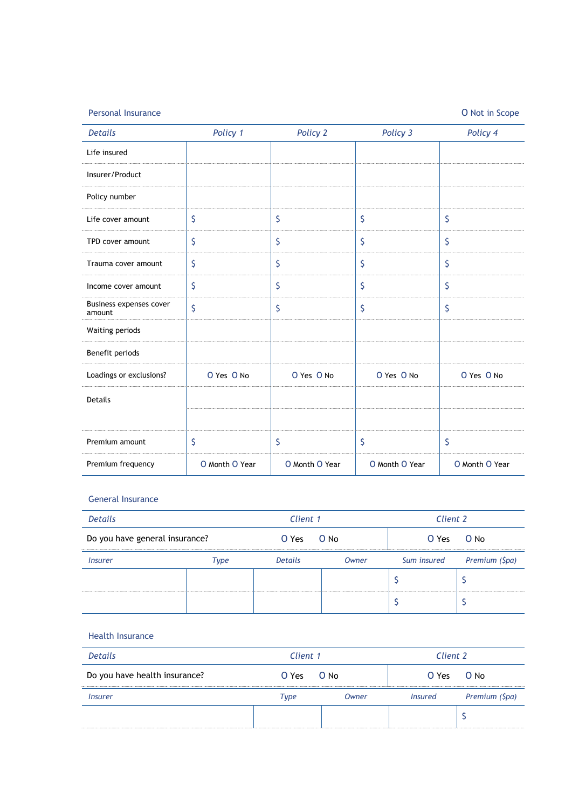| <b>Personal Insurance</b>         |                |                |                | O Not in Scope |
|-----------------------------------|----------------|----------------|----------------|----------------|
| <b>Details</b>                    | Policy 1       | Policy 2       | Policy 3       | Policy 4       |
| Life insured                      |                |                |                |                |
| Insurer/Product                   |                |                |                |                |
| Policy number                     |                |                |                |                |
| Life cover amount                 | \$             | \$             | \$             | \$             |
| TPD cover amount                  | \$             | \$             | \$             | \$             |
| Trauma cover amount               | \$             | \$             | \$             | \$             |
| Income cover amount               | \$             | \$             | \$             | \$             |
| Business expenses cover<br>amount | \$             | \$             | \$             | \$             |
| Waiting periods                   |                |                |                |                |
| Benefit periods                   |                |                |                |                |
| Loadings or exclusions?           | O Yes O No     | O Yes O No     | O Yes O No     | O Yes O No     |
| Details                           |                |                |                |                |
|                                   |                |                |                |                |
| Premium amount                    | \$             | \$             | \$             | \$             |
| Premium frequency                 | O Month O Year | O Month O Year | O Month O Year | O Month O Year |

#### General Insurance

| <b>Details</b>                 |      | Client 1       |       | Client 2 |                            |
|--------------------------------|------|----------------|-------|----------|----------------------------|
| Do you have general insurance? |      | O Yes          | O No  | O Yes    | $O$ No                     |
| <i><u><b>Insurer</b></u></i>   | Type | <b>Details</b> | Owner |          | Sum insured Premium (\$pa) |
|                                |      |                |       |          |                            |
|                                |      |                |       |          |                            |

#### Health Insurance

| <b>Details</b>                | Client 1   |       | Client 2       |                |
|-------------------------------|------------|-------|----------------|----------------|
| Do you have health insurance? | O Yes O No |       | $O Yes$ $O No$ |                |
| <i><u><b>Insurer</b></u></i>  | Type       | Owner | Insured        | Premium (\$pa) |
|                               |            |       |                |                |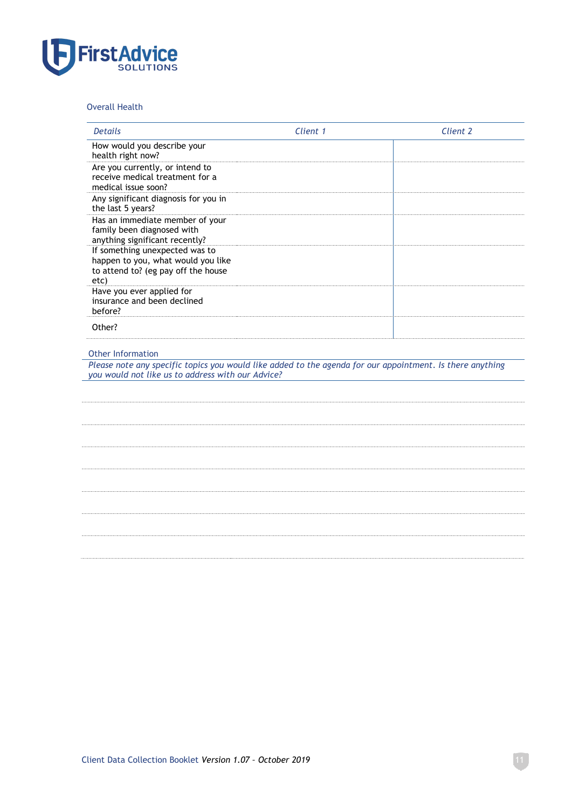

#### Overall Health

| <b>Details</b>                                                                                                                                                 | Client 1 | Client 2 |
|----------------------------------------------------------------------------------------------------------------------------------------------------------------|----------|----------|
| How would you describe your<br>health right now?                                                                                                               |          |          |
| Are you currently, or intend to<br>receive medical treatment for a<br>medical issue soon?                                                                      |          |          |
| Any significant diagnosis for you in<br>the last 5 years?                                                                                                      |          |          |
| Has an immediate member of your<br>family been diagnosed with<br>anything significant recently?                                                                |          |          |
| If something unexpected was to<br>happen to you, what would you like<br>to attend to? (eg pay off the house<br>etc)                                            |          |          |
| Have you ever applied for<br>insurance and been declined<br>before?                                                                                            |          |          |
| Other?                                                                                                                                                         |          |          |
| Please note any specific topics you would like added to the agenda for our appointment. Is there anything<br>you would not like us to address with our Advice? |          |          |
|                                                                                                                                                                |          |          |
|                                                                                                                                                                |          |          |
|                                                                                                                                                                |          |          |
|                                                                                                                                                                |          |          |
|                                                                                                                                                                |          |          |
|                                                                                                                                                                |          |          |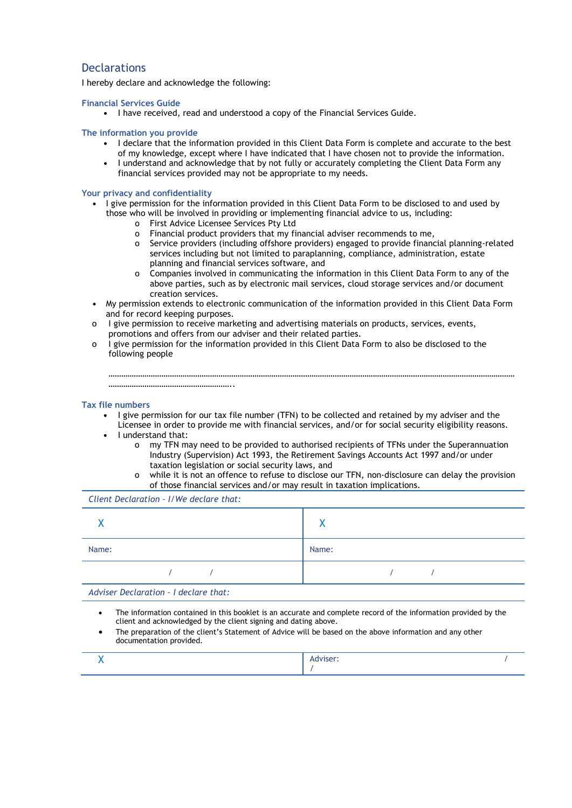#### **Declarations**

I hereby declare and acknowledge the following:

**Financial Services Guide**

**•** I have received, read and understood a copy of the Financial Services Guide.

#### **The information you provide**

- **•** I declare that the information provided in this Client Data Form is complete and accurate to the best of my knowledge, except where I have indicated that I have chosen not to provide the information.
- **•** I understand and acknowledge that by not fully or accurately completing the Client Data Form any financial services provided may not be appropriate to my needs.

#### **Your privacy and confidentiality**

- **•** I give permission for the information provided in this Client Data Form to be disclosed to and used by those who will be involved in providing or implementing financial advice to us, including:
	- o First Advice Licensee Services Pty Ltd
	- o Financial product providers that my financial adviser recommends to me,
	- o Service providers (including offshore providers) engaged to provide financial planning-related services including but not limited to paraplanning, compliance, administration, estate planning and financial services software, and
	- o Companies involved in communicating the information in this Client Data Form to any of the above parties, such as by electronic mail services, cloud storage services and/or document creation services.
- **•** My permission extends to electronic communication of the information provided in this Client Data Form and for record keeping purposes.
- o I give permission to receive marketing and advertising materials on products, services, events, promotions and offers from our adviser and their related parties.
- o I give permission for the information provided in this Client Data Form to also be disclosed to the following people

#### **Tax file numbers**

- **•** I give permission for our tax file number (TFN) to be collected and retained by my adviser and the
- Licensee in order to provide me with financial services, and/or for social security eligibility reasons. **•** I understand that:

…………………………………………………………………………………………………………………………………………………………………………

- o my TFN may need to be provided to authorised recipients of TFNs under the Superannuation Industry (Supervision) Act 1993, the Retirement Savings Accounts Act 1997 and/or under taxation legislation or social security laws, and
	- o while it is not an offence to refuse to disclose our TFN, non-disclosure can delay the provision of those financial services and/or may result in taxation implications.

*Client Declaration – I/We declare that:*

…………………………………………………..

|       |  | $\mathbf{v}$ |  |
|-------|--|--------------|--|
| Name: |  | Name:        |  |
|       |  |              |  |

*Adviser Declaration – I declare that:*

- The information contained in this booklet is an accurate and complete record of the information provided by the client and acknowledged by the client signing and dating above.
- The preparation of the client's Statement of Advice will be based on the above information and any other documentation provided.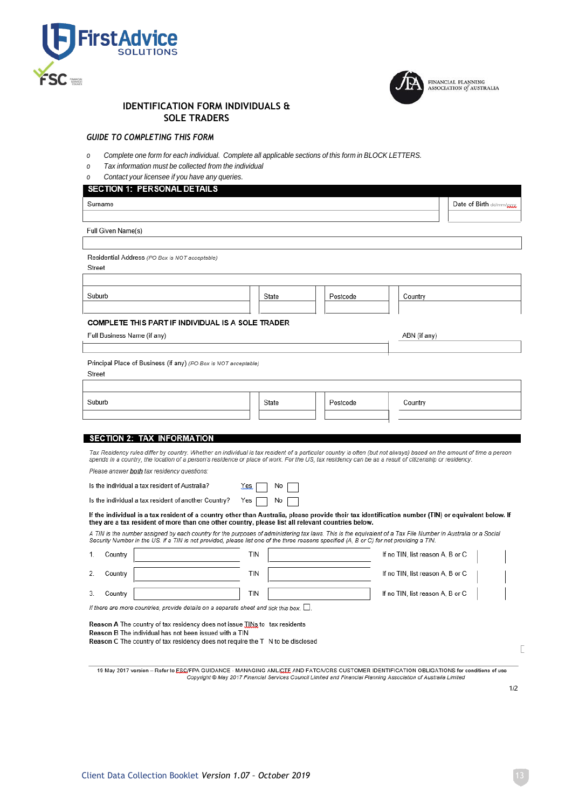



FINANCIAL PLANNING<br>ASSOCIATION *of* AUSTRALIA

#### **IDENTIFICATION FORM INDIVIDUALS & SOLE TRADERS**

#### *GUIDE TO COMPLETING THIS FORM*

- *o Complete one form for each individual. Complete all applicable sections of this form in BLOCK LETTERS.*
- *o Tax information must be collected from the individual*
- *o Contact your licensee if you have any queries.*

**SECTION 1: PERSONAL DETAILS** Surname Date of Birth dd/mm/v Full Given Name(s) Residential Address (PO Box is NOT acceptable) Street Suburb State Postcode Country COMPLETE THIS PART IF INDIVIDUAL IS A SOLE TRADER Full Business Name (if any) ABN (if any) Principal Place of Business (if any) (PO Box is NOT acceptable) Street Suburb State Postcode Country **SECTION 2: TAX INFORMATION** Tax Residency rules differ by country. Whether an individual is tax resident of a particular country is often (but not always) based on the amount of time a person spends in a country, the location of a person's residence or place of work. For the US, tax residency can be as a result of citizenship or residency Please answer both tax residency questions: Is the individual a tax resident of Australia? No Yes Is the individual a tax resident of another Country? Yes |  $No<sub>1</sub>$ If the individual is a tax resident of a country other than Australia, please provide their tax identification number (TIN) or equivalent below. If they are a tax resident of more than one other country, please list all relevant countries below. A TIN is the number assigned by each country for the purposes of administering tax laws. This is the equivalent of a Tax File Number in Australia or a Social Security Number in the US. If a TIN is not provided, please list one of the three reasons specified (A, B or C) for not providing a TIN.  $\mathbf{1}$ Country **TIN** If no TIN, list reason A, B or C  $\overline{2}$ Country **TIN** If no TIN, list reason A, B or C Country TIN If no TIN, list reason A, B or C  $3.$ If there are more countries, provide details on a separate sheet and tick this box.  $\Box$ Reason A The country of tax residency does not issue TINs to tax residents Reason B The individual has not been issued with a TIN Reason C The country of tax residency does not require the T N to be disclosed

19 May 2017 version - Refer to ESC/FPA GUIDANCE - MANAGING AML/CTE AND FATCA/CRS CUSTOMER IDENTIFICATION OBLIGATIONS for conditions of use Copyright @ May 2017 Financial Services Council Limited and Financial Planning Association of Australia Limited

 $1/2$ 

Г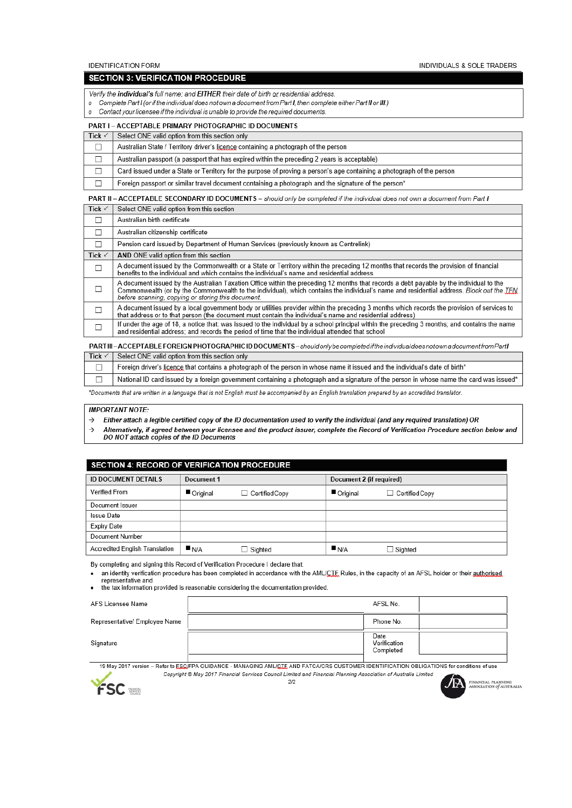**IDENTIFICATION FORM** 

INDIVIDUALS & SOLE TRADERS

#### **SECTION 3: VERIFICATION PROCEDURE**

Verify the individual's full name; and EITHER their date of birth or residential address

- o Complete Part I (or if the individual does not own a document from Part I, then complete either Part II or III.)
- Contact your licensee if the individual is unable to provide the required documents.  $\mathfrak{o}$

#### PART I - ACCEPTABLE PRIMARY PHOTOGRAPHIC ID DOCUMENTS

| Tick $\checkmark$ | Select ONE valid option from this section only                                                                                      |
|-------------------|-------------------------------------------------------------------------------------------------------------------------------------|
|                   | Australian State / Territory driver's licence containing a photograph of the person                                                 |
|                   | Australian passport (a passport that has expired within the preceding 2 years is acceptable)                                        |
|                   | Card issued under a State or Territory for the purpose of proving a person's age containing a photograph of the person              |
|                   | Foreign passport or similar travel document containing a photograph and the signature of the person*                                |
|                   | <b>PART II – ACCEPTABLE SECONDARY ID DOCUMENTS –</b> should only be completed if the individual does not own a document from Part I |
| Tick $\checkmark$ | Select ONE valid option from this section                                                                                           |

|                   | Australian birth certificate                                                                                                                                                                                                                                                                                                              |
|-------------------|-------------------------------------------------------------------------------------------------------------------------------------------------------------------------------------------------------------------------------------------------------------------------------------------------------------------------------------------|
|                   | Australian citizenship certificate                                                                                                                                                                                                                                                                                                        |
| □                 | Pension card issued by Department of Human Services (previously known as Centrelink)                                                                                                                                                                                                                                                      |
| Tick $\checkmark$ | AND ONE valid option from this section                                                                                                                                                                                                                                                                                                    |
| □                 | A document issued by the Commonwealth or a State or Territory within the preceding 12 months that records the provision of financial<br>benefits to the individual and which contains the individual's name and residential address                                                                                                       |
|                   | A document issued by the Australian Taxation Office within the preceding 12 months that records a debt payable by the individual to the<br>Commonwealth (or by the Commonwealth to the individual), which contains the individual's name and residential address. Block out the TFN<br>before scanning, copying or storing this document. |
|                   | A document issued by a local government body or utilities provider within the preceding 3 months which records the provision of services to<br>that address or to that person (the document must contain the individual's name and residential address)                                                                                   |
|                   | If under the age of 18, a notice that: was issued to the individual by a school principal within the preceding 3 months; and contains the name<br>and residential address; and records the period of time that the individual attended that school                                                                                        |

#### PARTIII-ACCEPTABLEFOREIGNPHOTOGRAPHICIDDOCUMENTS-shouldonlybecompletediftheindividualdoesnotownadocumentfromPartI Tick  $\checkmark$ Select ONE valid option from this section only

Foreign driver's licence that contains a photograph of the person in whose name it issued and the individual's date of birth\*  $\Box$ 

National ID card issued by a foreign government containing a photograph and a signature of the person in whose name the card was issued\*  $\Box$ 

\*Documents that are written in a language that is not English must be accompanied by an English translation prepared by an accredited translator

#### **IMPORTANT NOTE:**

- Either attach a legible certified copy of the ID documentation used to verify the individual (and any required translation) OR  $\rightarrow$
- Alternatively, if agreed between your licensee and the product issuer, complete the Record of Verification Procedure section below and<br>DO NOT attach copies of the ID Documents  $\rightarrow$

#### SECTION 4: RECORD OF VERIFICATION PROCEDURE

| <b>ID DOCUMENT DETAILS</b>     | Document 1 |                | Document 2 (if required) |                       |
|--------------------------------|------------|----------------|--------------------------|-----------------------|
| Verified From                  | Original   | Certified Copy | Original                 | $\Box$ Certified Copy |
| Document Issuer                |            |                |                          |                       |
| <b>Issue Date</b>              |            |                |                          |                       |
| <b>Expiry Date</b>             |            |                |                          |                       |
| Document Number                |            |                |                          |                       |
| Accredited English Translation | N/A        | $\Box$ Sighted | N/A                      | $\Box$ Sighted        |

By completing and signing this Record of Verification Procedure I declare that:

an identity verification procedure has been completed in accordance with the AML/CTE Rules, in the capacity of an AFSL holder or their authorised  $\bullet$ representative and

the tax information provided is reasonable considering the documentation provided.

| AFS Licensee Name             | AFSL No.                          |  |
|-------------------------------|-----------------------------------|--|
| Representative/ Employee Name | Phone No.                         |  |
| Signature                     | Date<br>Verification<br>Completed |  |

19 May 2017 version - Refer to ESC/FPA GUIDANCE - MANAGING AML/CTE AND FATCA/CRS CUSTOMER IDENTIFICATION OBLIGATIONS for conditions of use

Copyright @ May 2017 Financial Services Council Limited and Financial Planning Association of Australia Limited



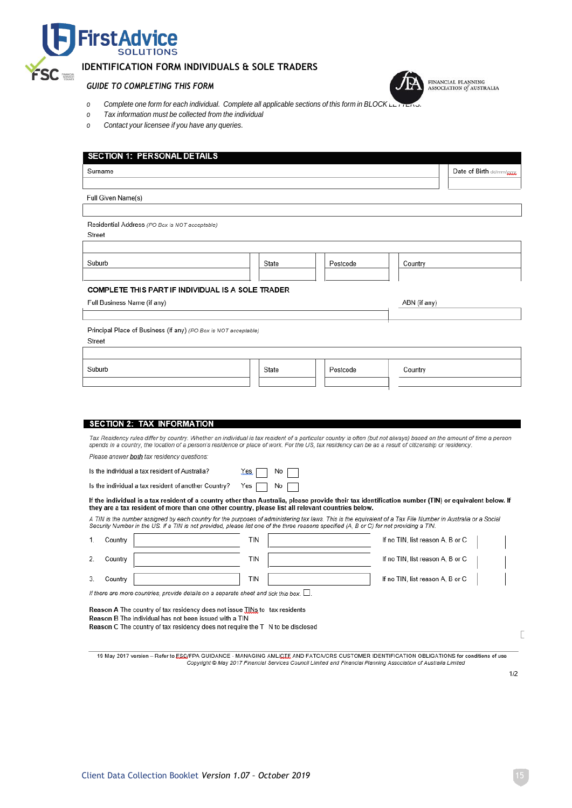

#### **IDENTIFICATION FORM INDIVIDUALS & SOLE TRADERS**

#### *GUIDE TO COMPLETING THIS FORM*

- $o$  *Complete one form for* each *individual.* Complete all applicable sections of this form in BLOCK L
- *o Tax information must be collected from the individual*
- *o Contact your licensee if you have any queries.*

| Surname                                                                                                                                                                                                                                                                                                                                                                                                                                                                                                                                                                                                                                                                                                                                                                                                                                                                                                                                                                                                                                                                                                                                                                                                                      |      |       |          |                                  | Date of Birth dd/mm/gggg |
|------------------------------------------------------------------------------------------------------------------------------------------------------------------------------------------------------------------------------------------------------------------------------------------------------------------------------------------------------------------------------------------------------------------------------------------------------------------------------------------------------------------------------------------------------------------------------------------------------------------------------------------------------------------------------------------------------------------------------------------------------------------------------------------------------------------------------------------------------------------------------------------------------------------------------------------------------------------------------------------------------------------------------------------------------------------------------------------------------------------------------------------------------------------------------------------------------------------------------|------|-------|----------|----------------------------------|--------------------------|
|                                                                                                                                                                                                                                                                                                                                                                                                                                                                                                                                                                                                                                                                                                                                                                                                                                                                                                                                                                                                                                                                                                                                                                                                                              |      |       |          |                                  |                          |
| Full Given Name(s)                                                                                                                                                                                                                                                                                                                                                                                                                                                                                                                                                                                                                                                                                                                                                                                                                                                                                                                                                                                                                                                                                                                                                                                                           |      |       |          |                                  |                          |
|                                                                                                                                                                                                                                                                                                                                                                                                                                                                                                                                                                                                                                                                                                                                                                                                                                                                                                                                                                                                                                                                                                                                                                                                                              |      |       |          |                                  |                          |
| Residential Address (PO Box is NOT acceptable)                                                                                                                                                                                                                                                                                                                                                                                                                                                                                                                                                                                                                                                                                                                                                                                                                                                                                                                                                                                                                                                                                                                                                                               |      |       |          |                                  |                          |
| Street                                                                                                                                                                                                                                                                                                                                                                                                                                                                                                                                                                                                                                                                                                                                                                                                                                                                                                                                                                                                                                                                                                                                                                                                                       |      |       |          |                                  |                          |
| Suburb                                                                                                                                                                                                                                                                                                                                                                                                                                                                                                                                                                                                                                                                                                                                                                                                                                                                                                                                                                                                                                                                                                                                                                                                                       |      |       |          |                                  |                          |
|                                                                                                                                                                                                                                                                                                                                                                                                                                                                                                                                                                                                                                                                                                                                                                                                                                                                                                                                                                                                                                                                                                                                                                                                                              |      | State | Postcode | Country                          |                          |
| COMPLETE THIS PART IF INDIVIDUAL IS A SOLE TRADER                                                                                                                                                                                                                                                                                                                                                                                                                                                                                                                                                                                                                                                                                                                                                                                                                                                                                                                                                                                                                                                                                                                                                                            |      |       |          |                                  |                          |
| Full Business Name (if any)                                                                                                                                                                                                                                                                                                                                                                                                                                                                                                                                                                                                                                                                                                                                                                                                                                                                                                                                                                                                                                                                                                                                                                                                  |      |       |          | ABN (if any)                     |                          |
|                                                                                                                                                                                                                                                                                                                                                                                                                                                                                                                                                                                                                                                                                                                                                                                                                                                                                                                                                                                                                                                                                                                                                                                                                              |      |       |          |                                  |                          |
| Principal Place of Business (if any) (PO Box is NOT acceptable)                                                                                                                                                                                                                                                                                                                                                                                                                                                                                                                                                                                                                                                                                                                                                                                                                                                                                                                                                                                                                                                                                                                                                              |      |       |          |                                  |                          |
| Street                                                                                                                                                                                                                                                                                                                                                                                                                                                                                                                                                                                                                                                                                                                                                                                                                                                                                                                                                                                                                                                                                                                                                                                                                       |      |       |          |                                  |                          |
|                                                                                                                                                                                                                                                                                                                                                                                                                                                                                                                                                                                                                                                                                                                                                                                                                                                                                                                                                                                                                                                                                                                                                                                                                              |      |       |          |                                  |                          |
| Suburb                                                                                                                                                                                                                                                                                                                                                                                                                                                                                                                                                                                                                                                                                                                                                                                                                                                                                                                                                                                                                                                                                                                                                                                                                       |      | State | Postcode | Country                          |                          |
|                                                                                                                                                                                                                                                                                                                                                                                                                                                                                                                                                                                                                                                                                                                                                                                                                                                                                                                                                                                                                                                                                                                                                                                                                              |      |       |          |                                  |                          |
|                                                                                                                                                                                                                                                                                                                                                                                                                                                                                                                                                                                                                                                                                                                                                                                                                                                                                                                                                                                                                                                                                                                                                                                                                              |      |       |          |                                  |                          |
|                                                                                                                                                                                                                                                                                                                                                                                                                                                                                                                                                                                                                                                                                                                                                                                                                                                                                                                                                                                                                                                                                                                                                                                                                              |      |       |          |                                  |                          |
|                                                                                                                                                                                                                                                                                                                                                                                                                                                                                                                                                                                                                                                                                                                                                                                                                                                                                                                                                                                                                                                                                                                                                                                                                              |      |       |          |                                  |                          |
|                                                                                                                                                                                                                                                                                                                                                                                                                                                                                                                                                                                                                                                                                                                                                                                                                                                                                                                                                                                                                                                                                                                                                                                                                              | Yes. | No    |          |                                  |                          |
|                                                                                                                                                                                                                                                                                                                                                                                                                                                                                                                                                                                                                                                                                                                                                                                                                                                                                                                                                                                                                                                                                                                                                                                                                              | Yes  | No    |          |                                  |                          |
|                                                                                                                                                                                                                                                                                                                                                                                                                                                                                                                                                                                                                                                                                                                                                                                                                                                                                                                                                                                                                                                                                                                                                                                                                              |      |       |          |                                  |                          |
|                                                                                                                                                                                                                                                                                                                                                                                                                                                                                                                                                                                                                                                                                                                                                                                                                                                                                                                                                                                                                                                                                                                                                                                                                              |      |       |          |                                  |                          |
|                                                                                                                                                                                                                                                                                                                                                                                                                                                                                                                                                                                                                                                                                                                                                                                                                                                                                                                                                                                                                                                                                                                                                                                                                              |      |       |          |                                  |                          |
| Country                                                                                                                                                                                                                                                                                                                                                                                                                                                                                                                                                                                                                                                                                                                                                                                                                                                                                                                                                                                                                                                                                                                                                                                                                      | tin  |       |          | If no TIN, list reason A, B or C |                          |
| Country                                                                                                                                                                                                                                                                                                                                                                                                                                                                                                                                                                                                                                                                                                                                                                                                                                                                                                                                                                                                                                                                                                                                                                                                                      | tin  |       |          | If no TIN, list reason A, B or C |                          |
| Country                                                                                                                                                                                                                                                                                                                                                                                                                                                                                                                                                                                                                                                                                                                                                                                                                                                                                                                                                                                                                                                                                                                                                                                                                      | tin  |       |          | If no TIN, list reason A, B or C |                          |
| <b>SECTION 2: TAX INFORMATION</b><br>Tax Residency rules differ by country. Whether an individual is tax resident of a particular country is often (but not always) based on the amount of time a person<br>spends in a country, the location of a person's residence or place of work. For the US, tax residency can be as a result of citizenship or residency.<br>Please answer <b>both</b> tax residency questions:<br>Is the individual a tax resident of Australia?<br>Is the individual a tax resident of another Country?<br>If the individual is a tax resident of a country other than Australia, please provide their tax identification number (TIN) or equivalent below. If<br>they are a tax resident of more than one other country, please list all relevant countries below.<br>A TIN is the number assigned by each country for the purposes of administering tax laws. This is the equivalent of a Tax File Number in Australia or a Social<br>Security Number in the US. If a TIN is not provided, please list one of the three reasons specified (A, B or C) for not providing a TIN.<br>1.<br>2.<br>3.<br>If there are more countries, provide details on a separate sheet and tick this box. $\Box$ . |      |       |          |                                  |                          |
| Reason A The country of tax residency does not issue TINs to tax residents                                                                                                                                                                                                                                                                                                                                                                                                                                                                                                                                                                                                                                                                                                                                                                                                                                                                                                                                                                                                                                                                                                                                                   |      |       |          |                                  |                          |
| Reason B The individual has not been issued with a TIN                                                                                                                                                                                                                                                                                                                                                                                                                                                                                                                                                                                                                                                                                                                                                                                                                                                                                                                                                                                                                                                                                                                                                                       |      |       |          |                                  |                          |
| Reason C The country of tax residency does not require the T N to be disclosed                                                                                                                                                                                                                                                                                                                                                                                                                                                                                                                                                                                                                                                                                                                                                                                                                                                                                                                                                                                                                                                                                                                                               |      |       |          |                                  |                          |

FINANCIAL PLANNING<br>ASSOCIATION of AUSTRALIA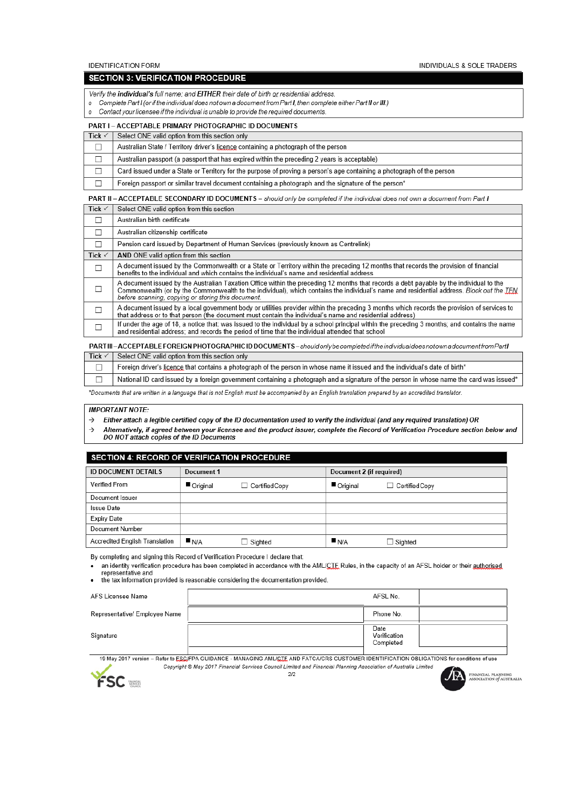**IDENTIFICATION FORM** 

INDIVIDUALS & SOLE TRADERS

#### **SECTION 3: VERIFICATION PROCEDURE**

Verify the individual's full name; and EITHER their date of birth or residential address

- o Complete Part I (or if the individual does not own a document from Part I, then complete either Part II or III.)
- Contact your licensee if the individual is unable to provide the required documents.  $\mathfrak{o}$

#### PART I - ACCEPTABLE PRIMARY PHOTOGRAPHIC ID DOCUMENTS

| Tick $\checkmark$                                                                                                                   | Select ONE valid option from this section only                                                                         |  |  |  |
|-------------------------------------------------------------------------------------------------------------------------------------|------------------------------------------------------------------------------------------------------------------------|--|--|--|
|                                                                                                                                     | Australian State / Territory driver's licence containing a photograph of the person                                    |  |  |  |
|                                                                                                                                     | Australian passport (a passport that has expired within the preceding 2 years is acceptable)                           |  |  |  |
|                                                                                                                                     | Card issued under a State or Territory for the purpose of proving a person's age containing a photograph of the person |  |  |  |
|                                                                                                                                     | Foreign passport or similar travel document containing a photograph and the signature of the person*                   |  |  |  |
| <b>PART II – ACCEPTABLE SECONDARY ID DOCUMENTS –</b> should only be completed if the individual does not own a document from Part I |                                                                                                                        |  |  |  |
| Tick $\checkmark$                                                                                                                   | Select ONE valid option from this section                                                                              |  |  |  |

|                   | Australian birth certificate                                                                                                                                                                                                                                                                                                              |
|-------------------|-------------------------------------------------------------------------------------------------------------------------------------------------------------------------------------------------------------------------------------------------------------------------------------------------------------------------------------------|
|                   | Australian citizenship certificate                                                                                                                                                                                                                                                                                                        |
| □                 | Pension card issued by Department of Human Services (previously known as Centrelink)                                                                                                                                                                                                                                                      |
| Tick $\checkmark$ | AND ONE valid option from this section                                                                                                                                                                                                                                                                                                    |
| □                 | A document issued by the Commonwealth or a State or Territory within the preceding 12 months that records the provision of financial<br>benefits to the individual and which contains the individual's name and residential address                                                                                                       |
|                   | A document issued by the Australian Taxation Office within the preceding 12 months that records a debt payable by the individual to the<br>Commonwealth (or by the Commonwealth to the individual), which contains the individual's name and residential address. Block out the TFN<br>before scanning, copying or storing this document. |
|                   | A document issued by a local government body or utilities provider within the preceding 3 months which records the provision of services to<br>that address or to that person (the document must contain the individual's name and residential address)                                                                                   |
|                   | If under the age of 18, a notice that: was issued to the individual by a school principal within the preceding 3 months; and contains the name<br>and residential address; and records the period of time that the individual attended that school                                                                                        |

#### PARTIII-ACCEPTABLEFOREIGNPHOTOGRAPHICIDDOCUMENTS-shouldonlybecompletediftheindividualdoesnotownadocumentfromPartI Tick  $\checkmark$ Select ONE valid option from this section only

Foreign driver's licence that contains a photograph of the person in whose name it issued and the individual's date of birth\*  $\Box$ 

National ID card issued by a foreign government containing a photograph and a signature of the person in whose name the card was issued\*  $\Box$ 

\*Documents that are written in a language that is not English must be accompanied by an English translation prepared by an accredited translator

#### **IMPORTANT NOTE:**

- Either attach a legible certified copy of the ID documentation used to verify the individual (and any required translation) OR  $\rightarrow$
- Alternatively, if agreed between your licensee and the product issuer, complete the Record of Verification Procedure section below and<br>DO NOT attach copies of the ID Documents  $\rightarrow$

| <b>SECTION 4: RECORD OF VERIFICATION PROCEDURE</b> |            |                |                          |                       |  |
|----------------------------------------------------|------------|----------------|--------------------------|-----------------------|--|
| <b>ID DOCUMENT DETAILS</b>                         | Document 1 |                | Document 2 (if required) |                       |  |
| Verified From                                      | Original   | Certified Copy | Original                 | $\Box$ Certified Copy |  |
| Document Issuer                                    |            |                |                          |                       |  |
| <b>Issue Date</b>                                  |            |                |                          |                       |  |
| <b>Expiry Date</b>                                 |            |                |                          |                       |  |
| Document Number                                    |            |                |                          |                       |  |
| Accredited English Translation                     | N/A        | $\Box$ Sighted | N/A                      | $\Box$ Sighted        |  |

By completing and signing this Record of Verification Procedure I declare that:

an identity verification procedure has been completed in accordance with the AML/CTE Rules, in the capacity of an AFSL holder or their authorised representative and

the tax information provided is reasonable considering the documentation provided.

| AFS Licensee Name             | AFSL No.                          |  |
|-------------------------------|-----------------------------------|--|
| Representative/ Employee Name | Phone No.                         |  |
| Signature                     | Date<br>Verification<br>Completed |  |

19 May 2017 version - Refer to ESC/FPA GUIDANCE - MANAGING AML/CTE AND FATCA/CRS CUSTOMER IDENTIFICATION OBLIGATIONS for conditions of use Copyright © May 2017 Financial Services Council Limited and Financial Planning Association of Australia Limited



 $2/2$ 

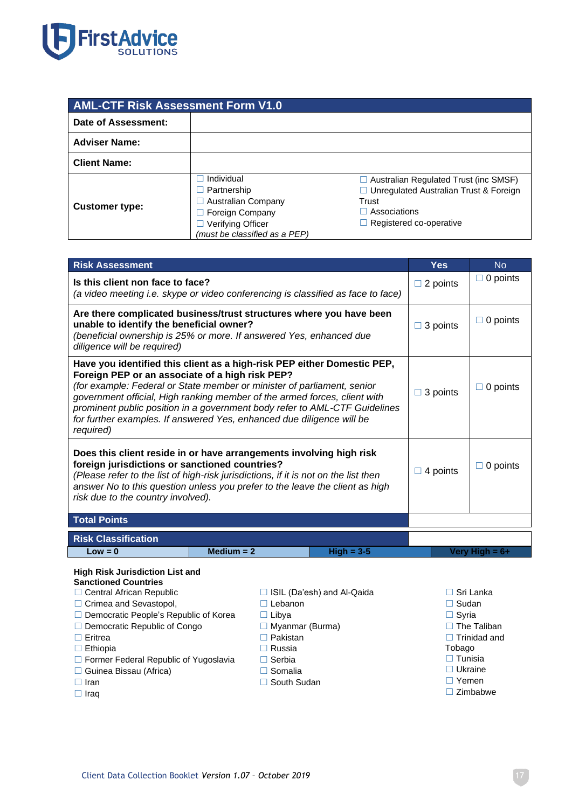

| <b>AML-CTF Risk Assessment Form V1.0</b> |                                                                                                                                               |                                                                                                                                                     |  |  |
|------------------------------------------|-----------------------------------------------------------------------------------------------------------------------------------------------|-----------------------------------------------------------------------------------------------------------------------------------------------------|--|--|
| Date of Assessment:                      |                                                                                                                                               |                                                                                                                                                     |  |  |
| <b>Adviser Name:</b>                     |                                                                                                                                               |                                                                                                                                                     |  |  |
| <b>Client Name:</b>                      |                                                                                                                                               |                                                                                                                                                     |  |  |
| <b>Customer type:</b>                    | Individual<br>$\Box$ Partnership<br>$\Box$ Australian Company<br>$\Box$ Foreign Company<br>Verifying Officer<br>(must be classified as a PEP) | $\Box$ Australian Regulated Trust (inc SMSF)<br>□ Unregulated Australian Trust & Foreign<br>Trust<br>Associations<br>$\Box$ Registered co-operative |  |  |

| <b>Risk Assessment</b>                                                                                                                                                                                                                                                                                                                                                                                                                                 |                    |                 | <b>Yes</b> | <b>No</b>       |
|--------------------------------------------------------------------------------------------------------------------------------------------------------------------------------------------------------------------------------------------------------------------------------------------------------------------------------------------------------------------------------------------------------------------------------------------------------|--------------------|-----------------|------------|-----------------|
| Is this client non face to face?<br>(a video meeting i.e. skype or video conferencing is classified as face to face)                                                                                                                                                                                                                                                                                                                                   | $\Box$ 2 points    | $\Box$ 0 points |            |                 |
| Are there complicated business/trust structures where you have been<br>unable to identify the beneficial owner?<br>(beneficial ownership is 25% or more. If answered Yes, enhanced due<br>diligence will be required)                                                                                                                                                                                                                                  |                    |                 |            | $\Box$ 0 points |
| Have you identified this client as a high-risk PEP either Domestic PEP,<br>Foreign PEP or an associate of a high risk PEP?<br>(for example: Federal or State member or minister of parliament, senior<br>government official, High ranking member of the armed forces, client with<br>prominent public position in a government body refer to AML-CTF Guidelines<br>for further examples. If answered Yes, enhanced due diligence will be<br>required) |                    |                 |            | $\Box$ 0 points |
| Does this client reside in or have arrangements involving high risk<br>foreign jurisdictions or sanctioned countries?<br>(Please refer to the list of high-risk jurisdictions, if it is not on the list then<br>answer No to this question unless you prefer to the leave the client as high<br>risk due to the country involved).                                                                                                                     | 4 points<br>$\Box$ | 0 points        |            |                 |
| <b>Total Points</b>                                                                                                                                                                                                                                                                                                                                                                                                                                    |                    |                 |            |                 |
| <b>Risk Classification</b>                                                                                                                                                                                                                                                                                                                                                                                                                             |                    |                 |            |                 |
| $Low = 0$                                                                                                                                                                                                                                                                                                                                                                                                                                              | $Median = 2$       | $High = 3-5$    |            | Very High = 6+  |
| t Barba Miata Tarata di Africa I inclu                                                                                                                                                                                                                                                                                                                                                                                                                 |                    |                 |            |                 |

#### **High Risk Jurisdiction List and Sanctioned Countries**

□ Central African Republic

- □ Crimea and Sevastopol, ☐ Democratic People's Republic of Korea ☐ Democratic Republic of Congo □ Lebanon ☐ Libya □ Myanmar (Burma)
- ☐ Eritrea
- □ Ethiopia
- ☐ Former Federal Republic of Yugoslavia
- ☐ Guinea Bissau (Africa)
- ☐ Iran
- ☐ Iraq
- ☐ ISIL (Da'esh) and Al-Qaida
- ☐ Pakistan
- ☐ Russia
- ☐ Serbia
- ☐ Somalia
- □ South Sudan
- 
- ☐ Sri Lanka
- □ Sudan
- □ Syria
- □ The Taliban
- ☐ Trinidad and Tobago
- ☐ Tunisia
- 
- ☐ Ukraine
- ☐ Yemen
- ☐ Zimbabwe